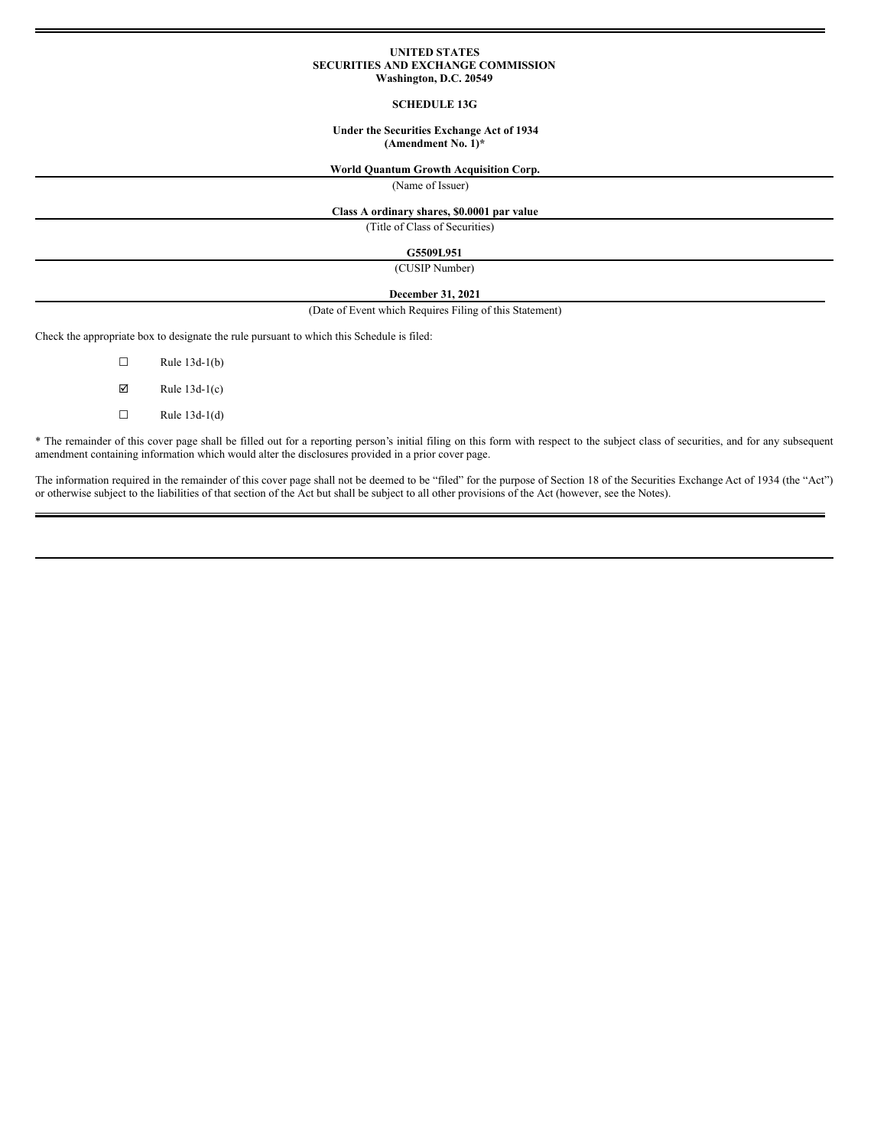### **UNITED STATES SECURITIES AND EXCHANGE COMMISSION Washington, D.C. 20549**

## **SCHEDULE 13G**

### **Under the Securities Exchange Act of 1934 (Amendment No. 1)\***

# **World Quantum Growth Acquisition Corp.**

(Name of Issuer)

# **Class A ordinary shares, \$0.0001 par value**

(Title of Class of Securities)

### **G5509L951**

(CUSIP Number)

### **December 31, 2021**

(Date of Event which Requires Filing of this Statement)

Check the appropriate box to designate the rule pursuant to which this Schedule is filed:

 $\Box$  Rule 13d-1(b)  $\boxtimes$  Rule 13d-1(c)  $\Box$  Rule 13d-1(d)

\* The remainder of this cover page shall be filled out for a reporting person's initial filing on this form with respect to the subject class of securities, and for any subsequent amendment containing information which would alter the disclosures provided in a prior cover page.

The information required in the remainder of this cover page shall not be deemed to be "filed" for the purpose of Section 18 of the Securities Exchange Act of 1934 (the "Act") or otherwise subject to the liabilities of that section of the Act but shall be subject to all other provisions of the Act (however, see the Notes).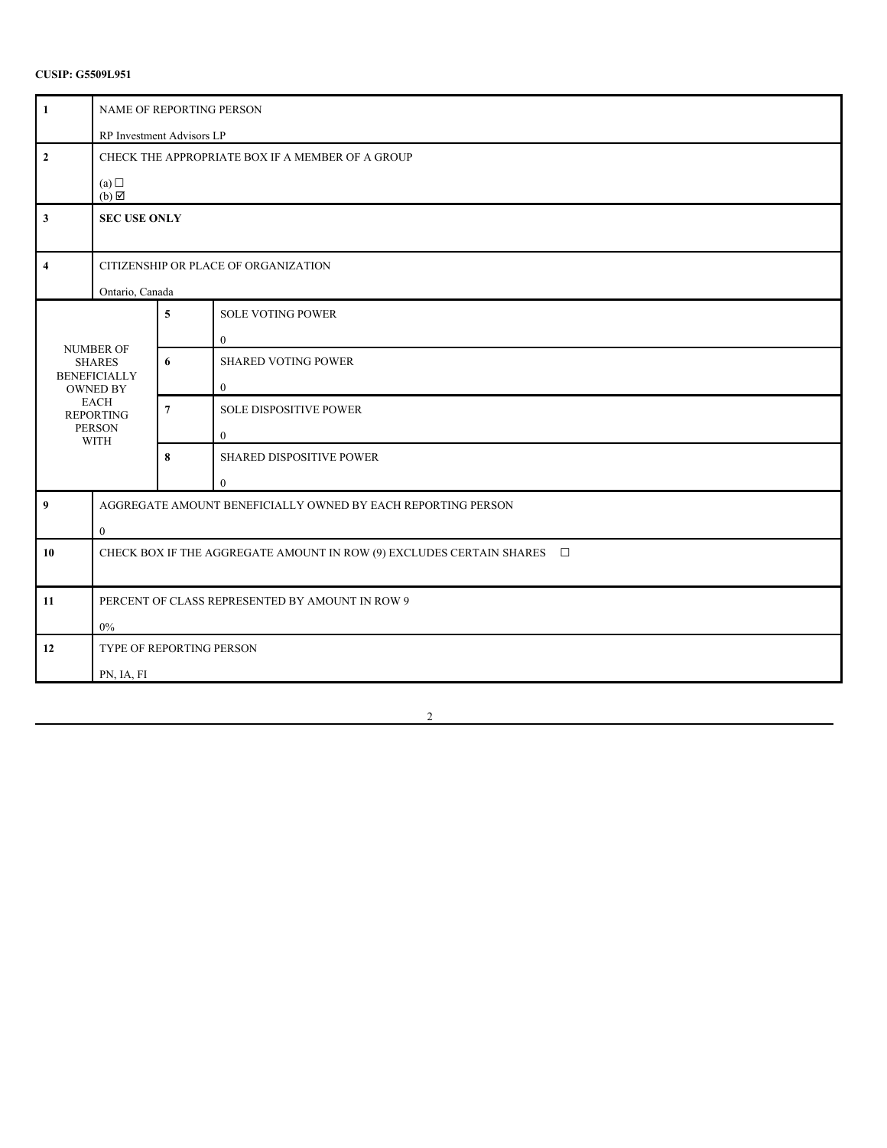| $\mathbf{1}$            | NAME OF REPORTING PERSON                                                    |                  |                                          |  |
|-------------------------|-----------------------------------------------------------------------------|------------------|------------------------------------------|--|
|                         | RP Investment Advisors LP                                                   |                  |                                          |  |
| $\mathbf{2}$            | CHECK THE APPROPRIATE BOX IF A MEMBER OF A GROUP                            |                  |                                          |  |
|                         | (a)<br>$(b) \boxtimes$                                                      |                  |                                          |  |
| $\overline{\mathbf{3}}$ | <b>SEC USE ONLY</b>                                                         |                  |                                          |  |
| $\overline{\mathbf{4}}$ | CITIZENSHIP OR PLACE OF ORGANIZATION                                        |                  |                                          |  |
|                         | Ontario, Canada                                                             |                  |                                          |  |
|                         |                                                                             | 5                | <b>SOLE VOTING POWER</b><br>$\mathbf{0}$ |  |
|                         | <b>NUMBER OF</b><br><b>SHARES</b>                                           | 6                | <b>SHARED VOTING POWER</b>               |  |
|                         | <b>BENEFICIALLY</b><br><b>OWNED BY</b>                                      |                  | $\mathbf{0}$                             |  |
|                         | <b>EACH</b><br><b>REPORTING</b>                                             | $\boldsymbol{7}$ | <b>SOLE DISPOSITIVE POWER</b>            |  |
|                         | <b>PERSON</b><br><b>WITH</b>                                                |                  | $\mathbf{0}$                             |  |
|                         |                                                                             | 8                | SHARED DISPOSITIVE POWER                 |  |
|                         |                                                                             |                  | $\theta$                                 |  |
| 9                       | AGGREGATE AMOUNT BENEFICIALLY OWNED BY EACH REPORTING PERSON                |                  |                                          |  |
|                         | $\boldsymbol{0}$                                                            |                  |                                          |  |
| 10                      | CHECK BOX IF THE AGGREGATE AMOUNT IN ROW (9) EXCLUDES CERTAIN SHARES $\Box$ |                  |                                          |  |
|                         |                                                                             |                  |                                          |  |
| 11                      | PERCENT OF CLASS REPRESENTED BY AMOUNT IN ROW 9                             |                  |                                          |  |
| $0\%$                   |                                                                             |                  |                                          |  |
| 12                      | <b>TYPE OF REPORTING PERSON</b>                                             |                  |                                          |  |
|                         | PN, IA, FI                                                                  |                  |                                          |  |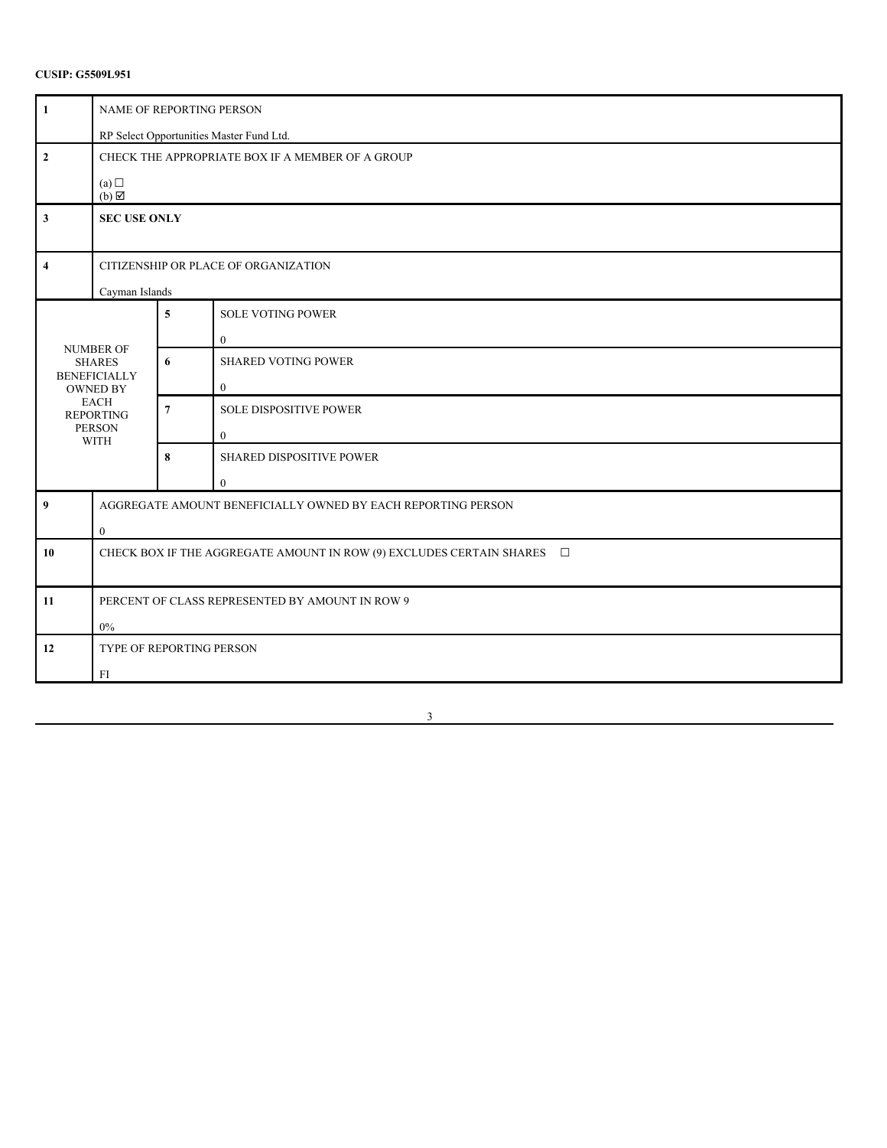| $\mathbf{1}$        | NAME OF REPORTING PERSON                                                       |                  |                                                 |  |
|---------------------|--------------------------------------------------------------------------------|------------------|-------------------------------------------------|--|
|                     | RP Select Opportunities Master Fund Ltd.                                       |                  |                                                 |  |
| $\overline{2}$      | CHECK THE APPROPRIATE BOX IF A MEMBER OF A GROUP                               |                  |                                                 |  |
|                     | (a)<br>$(b) \boxtimes$                                                         |                  |                                                 |  |
| $\mathbf{3}$        | <b>SEC USE ONLY</b>                                                            |                  |                                                 |  |
| $\overline{\bf{4}}$ | CITIZENSHIP OR PLACE OF ORGANIZATION<br>Cayman Islands                         |                  |                                                 |  |
|                     |                                                                                | $\sqrt{5}$       | <b>SOLE VOTING POWER</b><br>$\overline{0}$      |  |
|                     | <b>NUMBER OF</b><br><b>SHARES</b><br><b>BENEFICIALLY</b><br><b>OWNED BY</b>    | 6                | <b>SHARED VOTING POWER</b><br>$\mathbf{0}$      |  |
|                     | <b>EACH</b><br><b>REPORTING</b><br><b>PERSON</b><br><b>WITH</b>                | $\boldsymbol{7}$ | <b>SOLE DISPOSITIVE POWER</b><br>$\overline{0}$ |  |
|                     |                                                                                | 8                | SHARED DISPOSITIVE POWER<br>$\theta$            |  |
| $\boldsymbol{9}$    | AGGREGATE AMOUNT BENEFICIALLY OWNED BY EACH REPORTING PERSON<br>$\overline{0}$ |                  |                                                 |  |
| 10                  | CHECK BOX IF THE AGGREGATE AMOUNT IN ROW (9) EXCLUDES CERTAIN SHARES $\square$ |                  |                                                 |  |
| 11                  | PERCENT OF CLASS REPRESENTED BY AMOUNT IN ROW 9<br>$0\%$                       |                  |                                                 |  |
| 12                  | TYPE OF REPORTING PERSON<br>FI                                                 |                  |                                                 |  |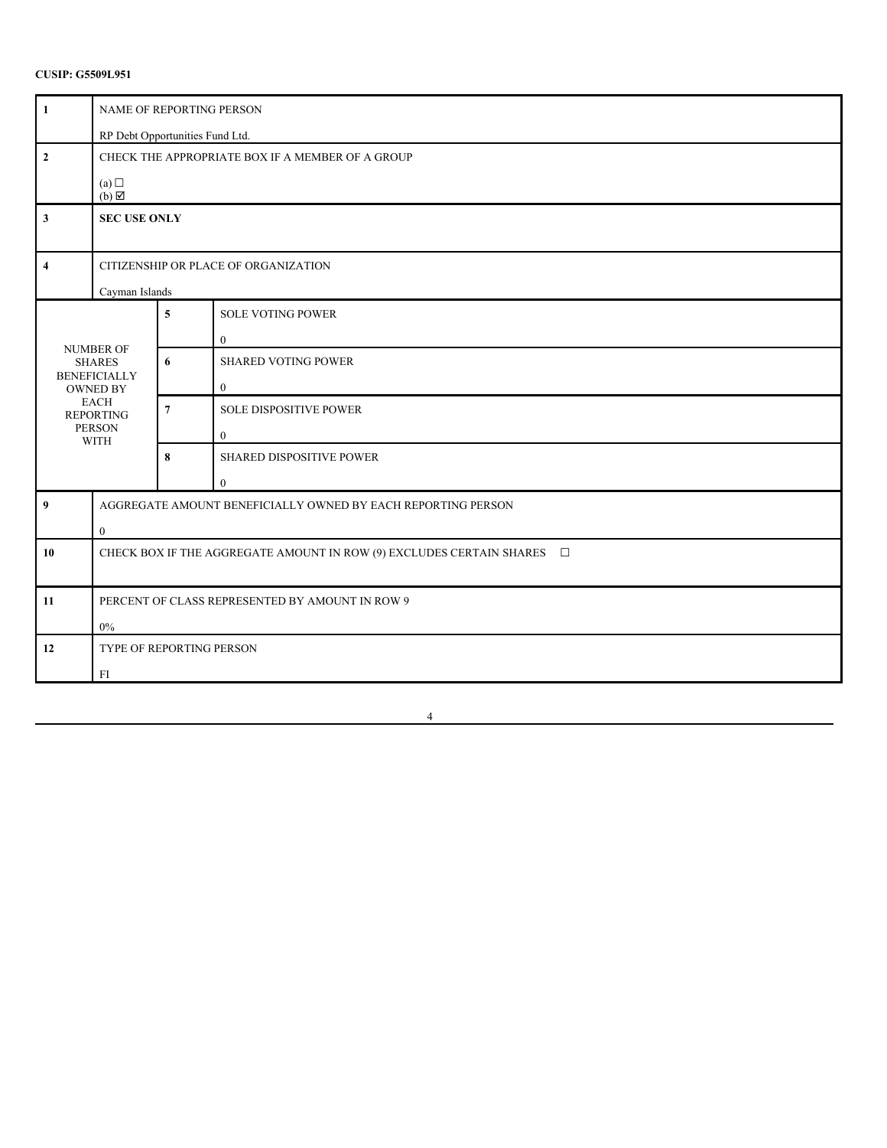| $\mathbf{1}$            | NAME OF REPORTING PERSON                                                       |                         |                                               |  |
|-------------------------|--------------------------------------------------------------------------------|-------------------------|-----------------------------------------------|--|
|                         | RP Debt Opportunities Fund Ltd.                                                |                         |                                               |  |
| $\mathbf 2$             | CHECK THE APPROPRIATE BOX IF A MEMBER OF A GROUP                               |                         |                                               |  |
|                         | (a)<br>$(b) \boxtimes$                                                         |                         |                                               |  |
| 3                       | <b>SEC USE ONLY</b>                                                            |                         |                                               |  |
| $\overline{\mathbf{4}}$ | CITIZENSHIP OR PLACE OF ORGANIZATION<br>Cayman Islands                         |                         |                                               |  |
|                         |                                                                                | $\overline{\mathbf{5}}$ | <b>SOLE VOTING POWER</b><br>$\overline{0}$    |  |
|                         | <b>NUMBER OF</b><br><b>SHARES</b><br><b>BENEFICIALLY</b><br><b>OWNED BY</b>    |                         | <b>SHARED VOTING POWER</b><br>$\mathbf{0}$    |  |
|                         | <b>EACH</b><br><b>REPORTING</b><br><b>PERSON</b><br><b>WITH</b>                | $\boldsymbol{7}$        | <b>SOLE DISPOSITIVE POWER</b><br>$\mathbf{0}$ |  |
|                         |                                                                                | 8                       | SHARED DISPOSITIVE POWER<br>$\mathbf{0}$      |  |
| $\boldsymbol{9}$        | AGGREGATE AMOUNT BENEFICIALLY OWNED BY EACH REPORTING PERSON<br>$\overline{0}$ |                         |                                               |  |
| 10                      | CHECK BOX IF THE AGGREGATE AMOUNT IN ROW (9) EXCLUDES CERTAIN SHARES $\square$ |                         |                                               |  |
| 11                      | PERCENT OF CLASS REPRESENTED BY AMOUNT IN ROW 9<br>$0\%$                       |                         |                                               |  |
| 12                      | TYPE OF REPORTING PERSON<br>FI                                                 |                         |                                               |  |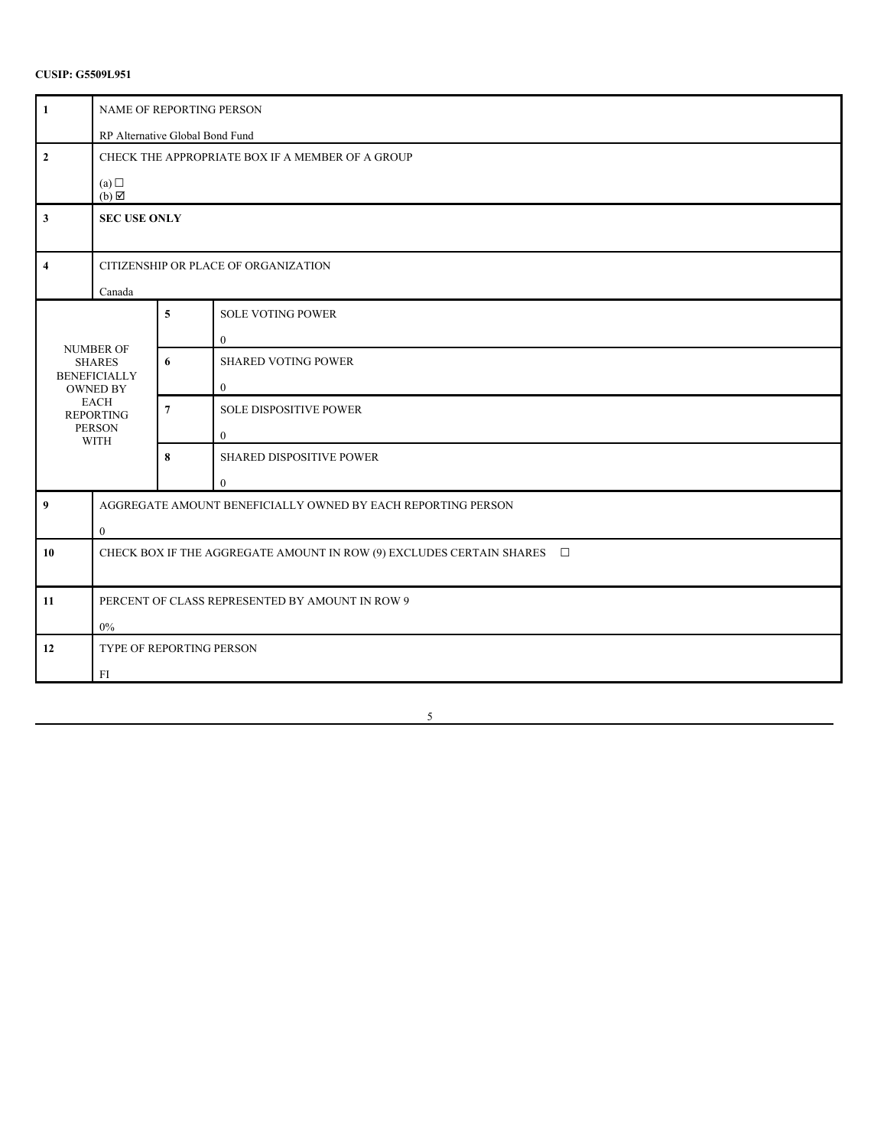| $\mathbf{1}$            | NAME OF REPORTING PERSON                                                       |                |                                               |  |
|-------------------------|--------------------------------------------------------------------------------|----------------|-----------------------------------------------|--|
|                         | RP Alternative Global Bond Fund                                                |                |                                               |  |
| $\mathbf{2}$            | CHECK THE APPROPRIATE BOX IF A MEMBER OF A GROUP                               |                |                                               |  |
|                         | (a)<br>$(b) \boxtimes$                                                         |                |                                               |  |
| $\mathbf{3}$            | <b>SEC USE ONLY</b>                                                            |                |                                               |  |
| $\overline{\mathbf{4}}$ | CITIZENSHIP OR PLACE OF ORGANIZATION<br>Canada                                 |                |                                               |  |
|                         |                                                                                | 5              | <b>SOLE VOTING POWER</b><br>$\boldsymbol{0}$  |  |
|                         | <b>NUMBER OF</b><br><b>SHARES</b><br><b>BENEFICIALLY</b><br><b>OWNED BY</b>    |                | <b>SHARED VOTING POWER</b><br>$\mathbf{0}$    |  |
|                         | <b>EACH</b><br><b>REPORTING</b><br><b>PERSON</b><br><b>WITH</b>                | $\overline{7}$ | <b>SOLE DISPOSITIVE POWER</b><br>$\mathbf{0}$ |  |
|                         |                                                                                | 8              | SHARED DISPOSITIVE POWER<br>$\theta$          |  |
| $\boldsymbol{9}$        | AGGREGATE AMOUNT BENEFICIALLY OWNED BY EACH REPORTING PERSON<br>$\overline{0}$ |                |                                               |  |
| 10                      | CHECK BOX IF THE AGGREGATE AMOUNT IN ROW (9) EXCLUDES CERTAIN SHARES $\square$ |                |                                               |  |
| 11                      | PERCENT OF CLASS REPRESENTED BY AMOUNT IN ROW 9<br>$0\%$                       |                |                                               |  |
| 12                      | TYPE OF REPORTING PERSON<br>FI                                                 |                |                                               |  |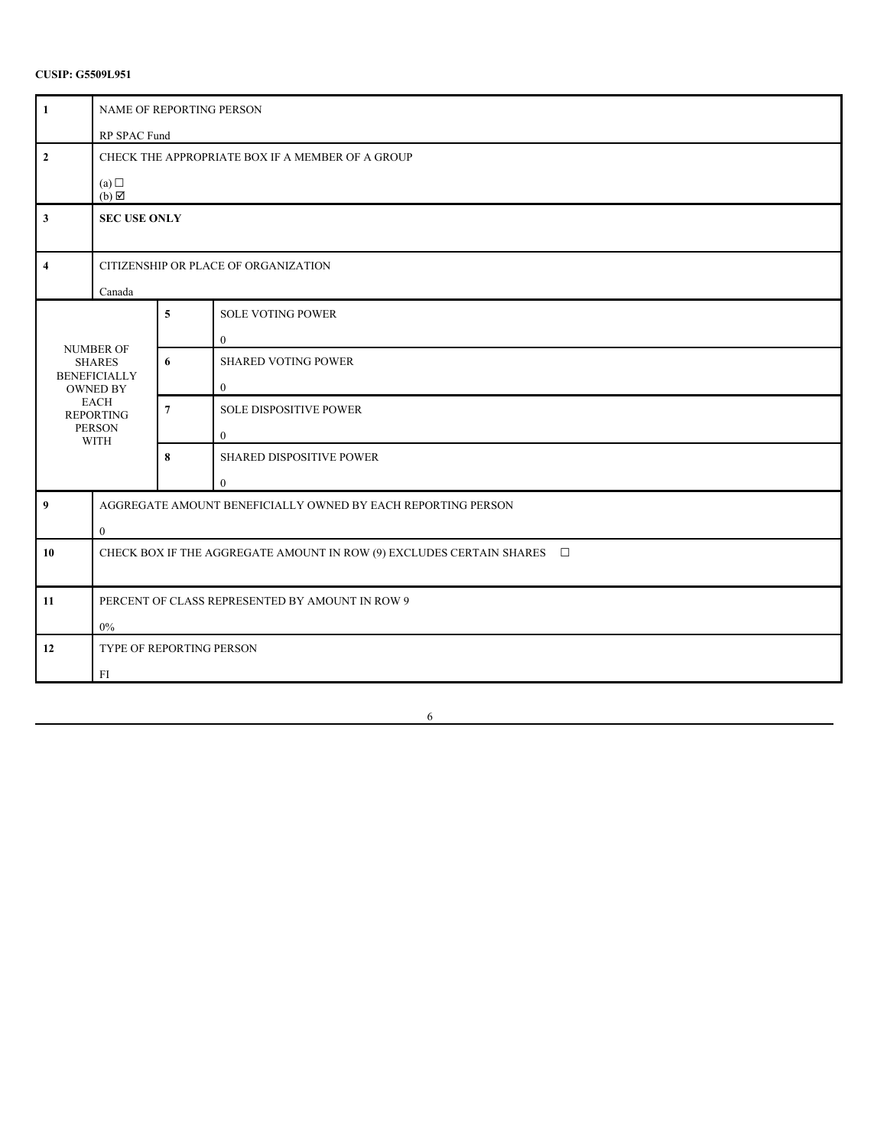| $\mathbf{1}$            | NAME OF REPORTING PERSON                                                    |                         |                                              |  |
|-------------------------|-----------------------------------------------------------------------------|-------------------------|----------------------------------------------|--|
|                         | RP SPAC Fund                                                                |                         |                                              |  |
| $\mathbf{2}$            | CHECK THE APPROPRIATE BOX IF A MEMBER OF A GROUP                            |                         |                                              |  |
|                         | (a)<br>$(b) \boxtimes$                                                      |                         |                                              |  |
| $\mathbf{3}$            | <b>SEC USE ONLY</b>                                                         |                         |                                              |  |
| $\overline{\mathbf{4}}$ | CITIZENSHIP OR PLACE OF ORGANIZATION<br>Canada                              |                         |                                              |  |
|                         |                                                                             | $\overline{\mathbf{5}}$ | SOLE VOTING POWER<br>$\mathbf{0}$            |  |
|                         | <b>NUMBER OF</b><br><b>SHARES</b><br><b>BENEFICIALLY</b><br><b>OWNED BY</b> |                         | <b>SHARED VOTING POWER</b><br>$\overline{0}$ |  |
|                         | <b>EACH</b><br><b>REPORTING</b><br><b>PERSON</b><br><b>WITH</b>             | $\boldsymbol{7}$        | SOLE DISPOSITIVE POWER<br>$\mathbf{0}$       |  |
|                         |                                                                             | $\bf{8}$                | SHARED DISPOSITIVE POWER<br>$\mathbf{0}$     |  |
| 9                       | AGGREGATE AMOUNT BENEFICIALLY OWNED BY EACH REPORTING PERSON<br>$\bf{0}$    |                         |                                              |  |
| 10                      | CHECK BOX IF THE AGGREGATE AMOUNT IN ROW (9) EXCLUDES CERTAIN SHARES $\Box$ |                         |                                              |  |
| 11                      | PERCENT OF CLASS REPRESENTED BY AMOUNT IN ROW 9<br>$0\%$                    |                         |                                              |  |
| 12                      | TYPE OF REPORTING PERSON<br>FI                                              |                         |                                              |  |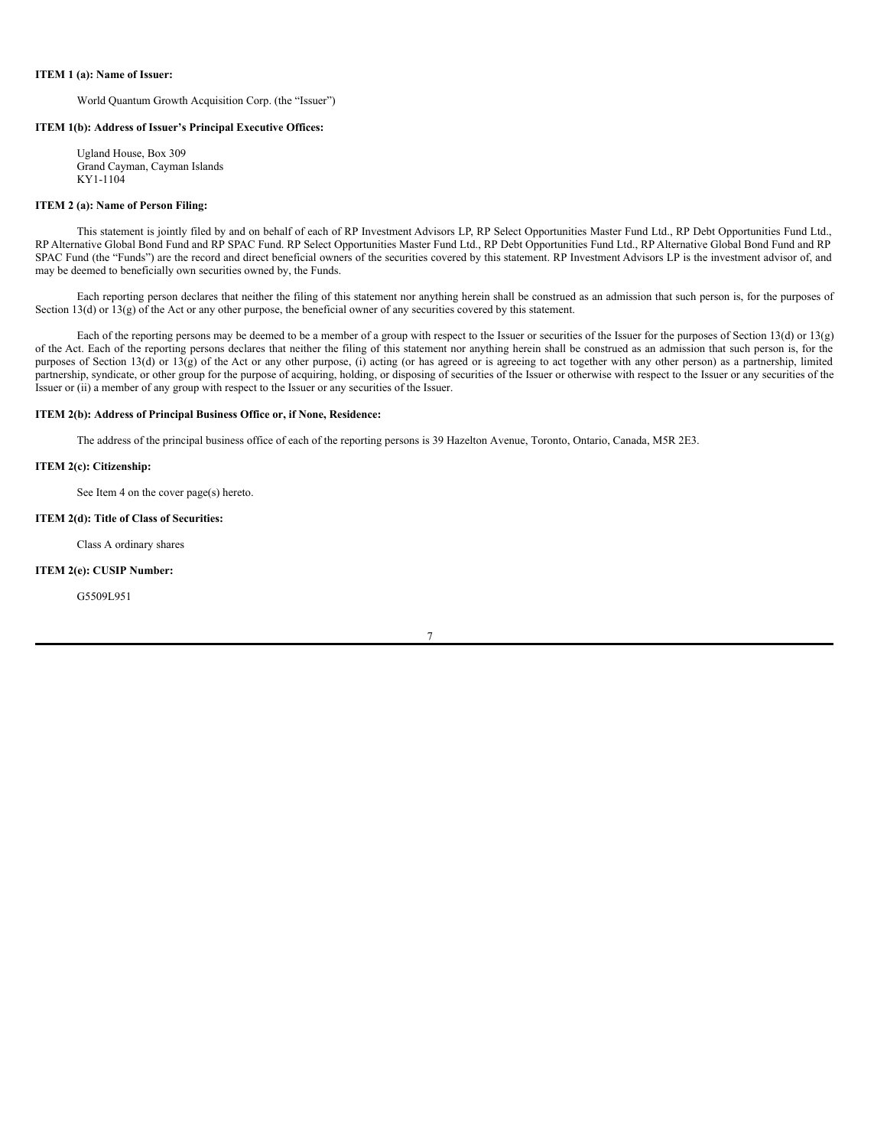### **ITEM 1 (a): Name of Issuer:**

World Quantum Growth Acquisition Corp. (the "Issuer")

## **ITEM 1(b): Address of Issuer's Principal Executive Offices:**

Ugland House, Box 309 Grand Cayman, Cayman Islands KY1-1104

### **ITEM 2 (a): Name of Person Filing:**

This statement is jointly filed by and on behalf of each of RP Investment Advisors LP, RP Select Opportunities Master Fund Ltd., RP Debt Opportunities Fund Ltd., RP Alternative Global Bond Fund and RP SPAC Fund. RP Select Opportunities Master Fund Ltd., RP Debt Opportunities Fund Ltd., RP Alternative Global Bond Fund and RP SPAC Fund (the "Funds") are the record and direct beneficial owners of the securities covered by this statement. RP Investment Advisors LP is the investment advisor of, and may be deemed to beneficially own securities owned by, the Funds.

Each reporting person declares that neither the filing of this statement nor anything herein shall be construed as an admission that such person is, for the purposes of Section 13(d) or  $13(g)$  of the Act or any other purpose, the beneficial owner of any securities covered by this statement.

Each of the reporting persons may be deemed to be a member of a group with respect to the Issuer or securities of the Issuer for the purposes of Section 13(d) or 13(g) of the Act. Each of the reporting persons declares that neither the filing of this statement nor anything herein shall be construed as an admission that such person is, for the purposes of Section 13(d) or 13(g) of the Act or any other purpose, (i) acting (or has agreed or is agreeing to act together with any other person) as a partnership, limited partnership, syndicate, or other group for the purpose of acquiring, holding, or disposing of securities of the Issuer or otherwise with respect to the Issuer or any securities of the Issuer or (ii) a member of any group with respect to the Issuer or any securities of the Issuer.

## **ITEM 2(b): Address of Principal Business Office or, if None, Residence:**

The address of the principal business office of each of the reporting persons is 39 Hazelton Avenue, Toronto, Ontario, Canada, M5R 2E3.

### **ITEM 2(c): Citizenship:**

See Item 4 on the cover page(s) hereto.

### **ITEM 2(d): Title of Class of Securities:**

Class A ordinary shares

### **ITEM 2(e): CUSIP Number:**

G5509L951

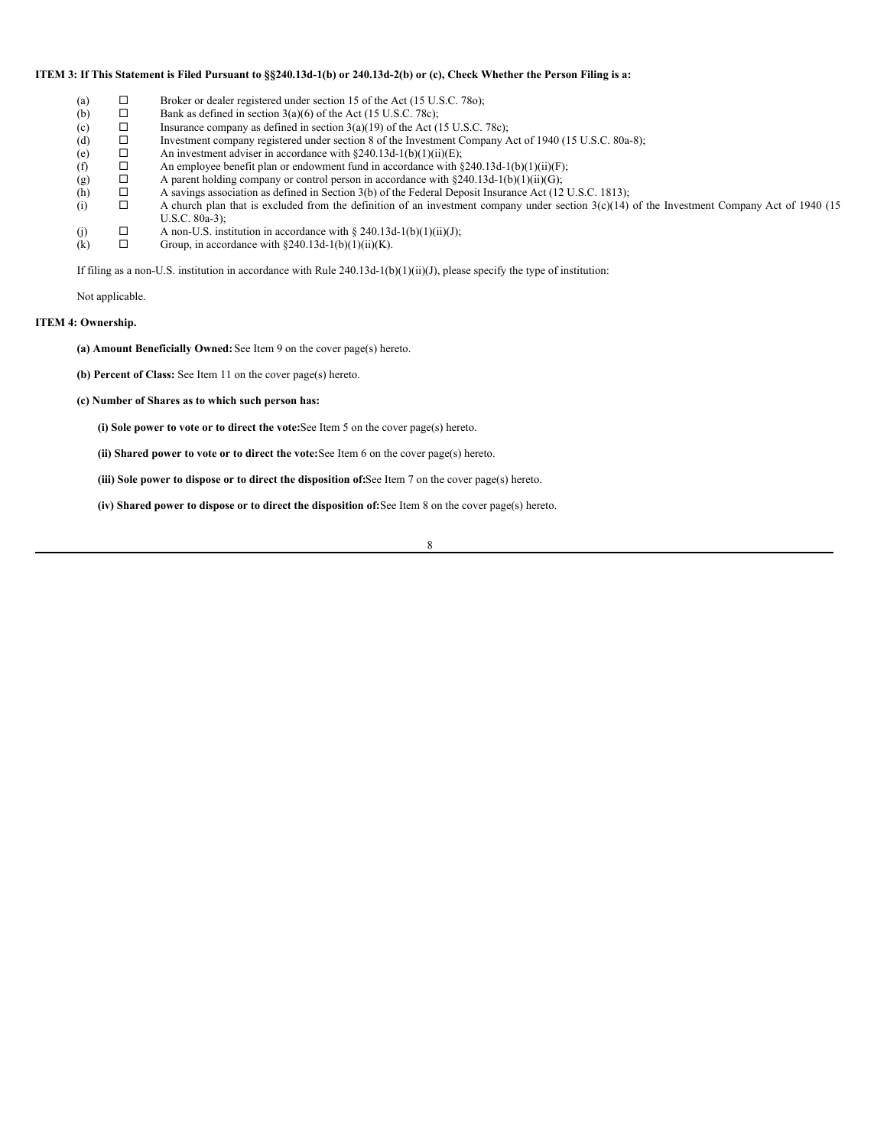### ITEM 3: If This Statement is Filed Pursuant to §§240.13d-1(b) or 240.13d-2(b) or (c), Check Whether the Person Filing is a:

- 
- (a)  $\Box$  Broker or dealer registered under section 15 of the Act (15 U.S.C. 780);<br>
(b)  $\Box$  Bank as defined in section 3(a)(6) of the Act (15 U.S.C. 78c);
- (b)  $\Box$  Bank as defined in section 3(a)(6) of the Act (15 U.S.C. 78c);<br>(c)  $\Box$  Insurance company as defined in section 3(a)(19) of the Act ( □ Insurance company as defined in section 3(a)(19) of the Act (15 U.S.C. 78c);<br>□ Investment company registered under section 8 of the Investment Company A
- (d)  $\Box$  Investment company registered under section 8 of the Investment Company Act of 1940 (15 U.S.C. 80a-8);<br>(e)  $\Box$  An investment adviser in accordance with §240.13d-1(b)(1)(ii)(E);
- (e)  $\Box$  An investment adviser in accordance with §240.13d-1(b)(1)(ii)(E);<br>(f)  $\Box$  An employee benefit plan or endowment fund in accordance with §
- $\Box$  An employee benefit plan or endowment fund in accordance with §240.13d-1(b)(1)(ii)(F);<br> $\Box$  A parent holding company or control person in accordance with §240.13d-1(b)(1)(ii)(G);
- (g)  $\Box$  A parent holding company or control person in accordance with §240.13d-1(b)(1)(ii)(G);<br>(h)  $\Box$  A savings association as defined in Section 3(b) of the Federal Deposit Insurance Act (12)
	- $\Box$  A savings association as defined in Section 3(b) of the Federal Deposit Insurance Act (12 U.S.C. 1813);<br>A church plan that is excluded from the definition of an investment company under section 3(c)(14)
- (i)  $\Box$  A church plan that is excluded from the definition of an investment company under section  $3(c)(14)$  of the Investment Company Act of 1940 (15 U.S.C. 80a-3);
- (j)  $\Box$  A non-U.S. institution in accordance with § 240.13d-1(b)(1)(ii)(J);<br>(k)  $\Box$  Groun. in accordance with § 240.13d-1(b)(1)(ii)(K).
- (k)  $\Box$  Group, in accordance with §240.13d-1(b)(1)(ii)(K).

If filing as a non-U.S. institution in accordance with Rule  $240.13d-1(b)(1)(ii)(J)$ , please specify the type of institution:

Not applicable.

## **ITEM 4: Ownership.**

**(a) Amount Beneficially Owned:**See Item 9 on the cover page(s) hereto.

- **(b) Percent of Class:** See Item 11 on the cover page(s) hereto.
- **(c) Number of Shares as to which such person has:**
	- **(i) Sole power to vote or to direct the vote:**See Item 5 on the cover page(s) hereto.
	- **(ii) Shared power to vote or to direct the vote:**See Item 6 on the cover page(s) hereto.

**(iii) Sole power to dispose or to direct the disposition of:**See Item 7 on the cover page(s) hereto.

**(iv) Shared power to dispose or to direct the disposition of:**See Item 8 on the cover page(s) hereto.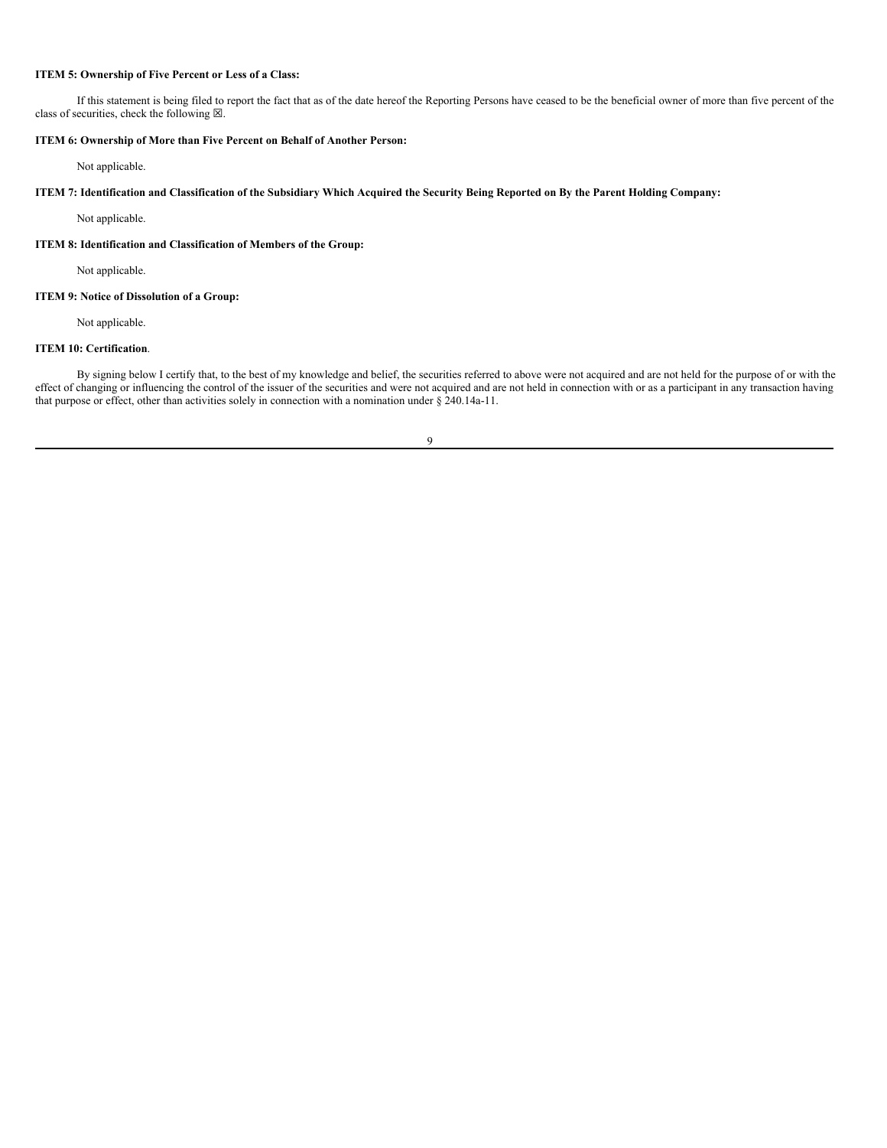# **ITEM 5: Ownership of Five Percent or Less of a Class:**

If this statement is being filed to report the fact that as of the date hereof the Reporting Persons have ceased to be the beneficial owner of more than five percent of the class of securities, check the following  $\boxtimes$ .

# **ITEM 6: Ownership of More than Five Percent on Behalf of Another Person:**

Not applicable.

ITEM 7: Identification and Classification of the Subsidiary Which Acquired the Security Being Reported on By the Parent Holding Company:

Not applicable.

**ITEM 8: Identification and Classification of Members of the Group:**

Not applicable.

## **ITEM 9: Notice of Dissolution of a Group:**

Not applicable.

### **ITEM 10: Certification**.

By signing below I certify that, to the best of my knowledge and belief, the securities referred to above were not acquired and are not held for the purpose of or with the effect of changing or influencing the control of the issuer of the securities and were not acquired and are not held in connection with or as a participant in any transaction having that purpose or effect, other than activities solely in connection with a nomination under § 240.14a-11.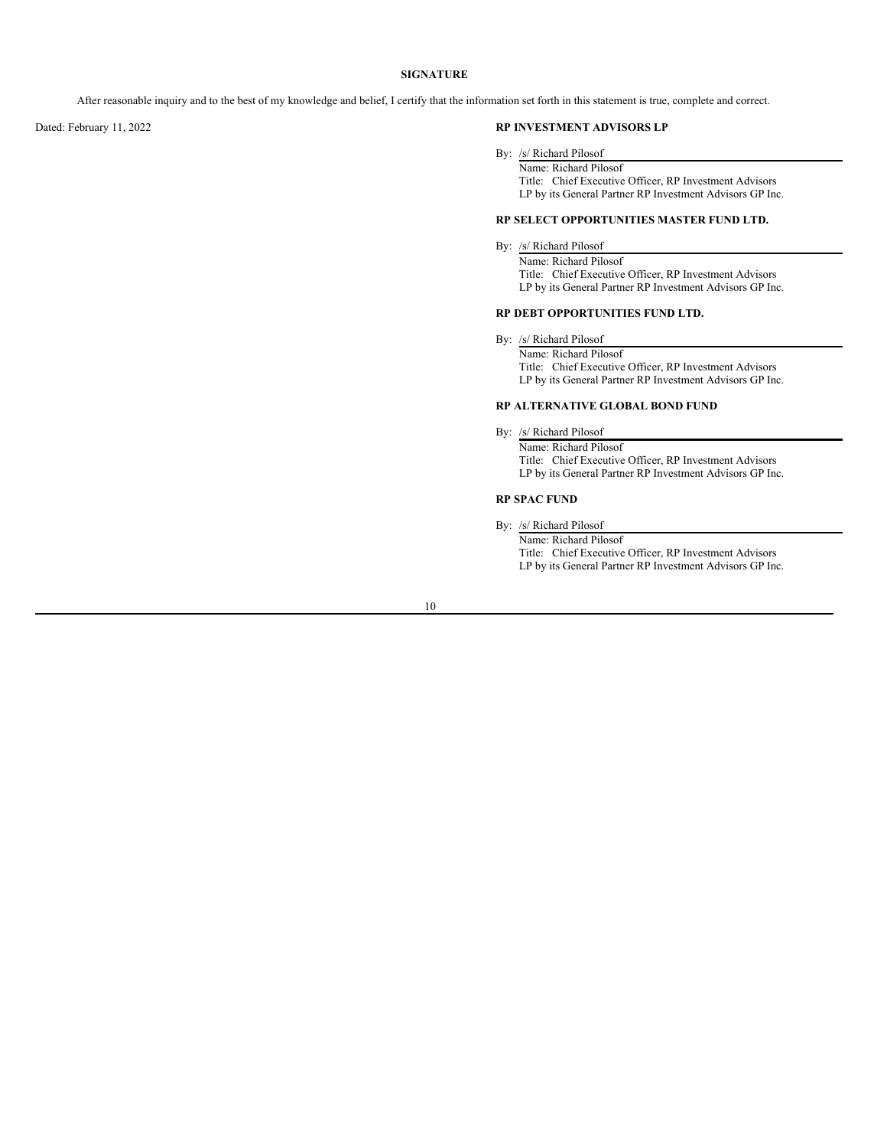## **SIGNATURE**

After reasonable inquiry and to the best of my knowledge and belief, I certify that the information set forth in this statement is true, complete and correct.

## Dated: February 11, 2022 **RP INVESTMENT ADVISORS LP**

By: /s/ Richard Pilosof

Name: Richard Pilosof Title: Chief Executive Officer, RP Investment Advisors LP by its General Partner RP Investment Advisors GP Inc.

## **RP SELECT OPPORTUNITIES MASTER FUND LTD.**

# By: /s/ Richard Pilosof

Name: Richard Pilosof Title: Chief Executive Officer, RP Investment Advisors LP by its General Partner RP Investment Advisors GP Inc.

### **RP DEBT OPPORTUNITIES FUND LTD.**

By: /s/ Richard Pilosof

Name: Richard Pilosof Title: Chief Executive Officer, RP Investment Advisors LP by its General Partner RP Investment Advisors GP Inc.

### **RP ALTERNATIVE GLOBAL BOND FUND**

By: /s/ Richard Pilosof

Name: Richard Pilosof Title: Chief Executive Officer, RP Investment Advisors LP by its General Partner RP Investment Advisors GP Inc.

## **RP SPAC FUND**

By: /s/ Richard Pilosof

Name: Richard Pilosof Title: Chief Executive Officer, RP Investment Advisors LP by its General Partner RP Investment Advisors GP Inc.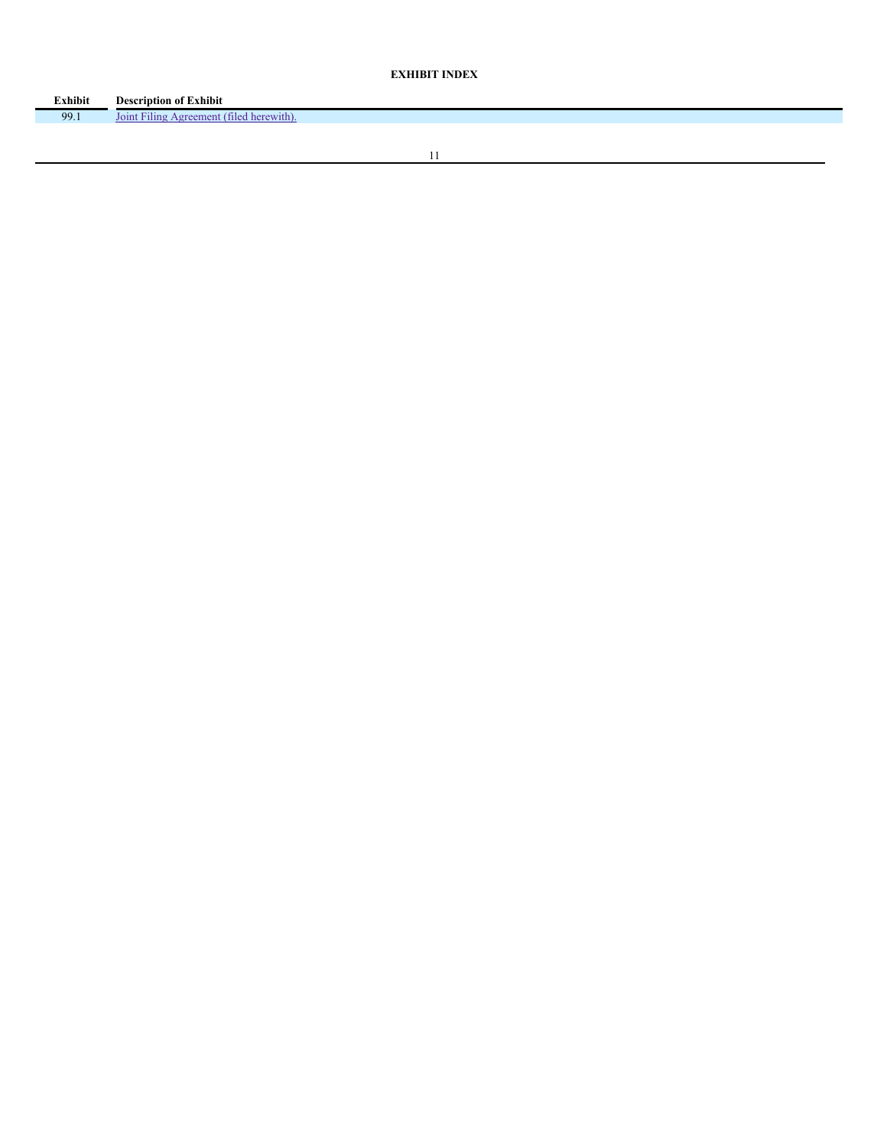# **EXHIBIT INDEX**

| <b>Exhibit</b> | <b>Description of Exhibit</b>                  |
|----------------|------------------------------------------------|
| 99.1           | $-1.11$<br>Jon<br>tiled<br>'ilins<br>A oreemen |
|                |                                                |